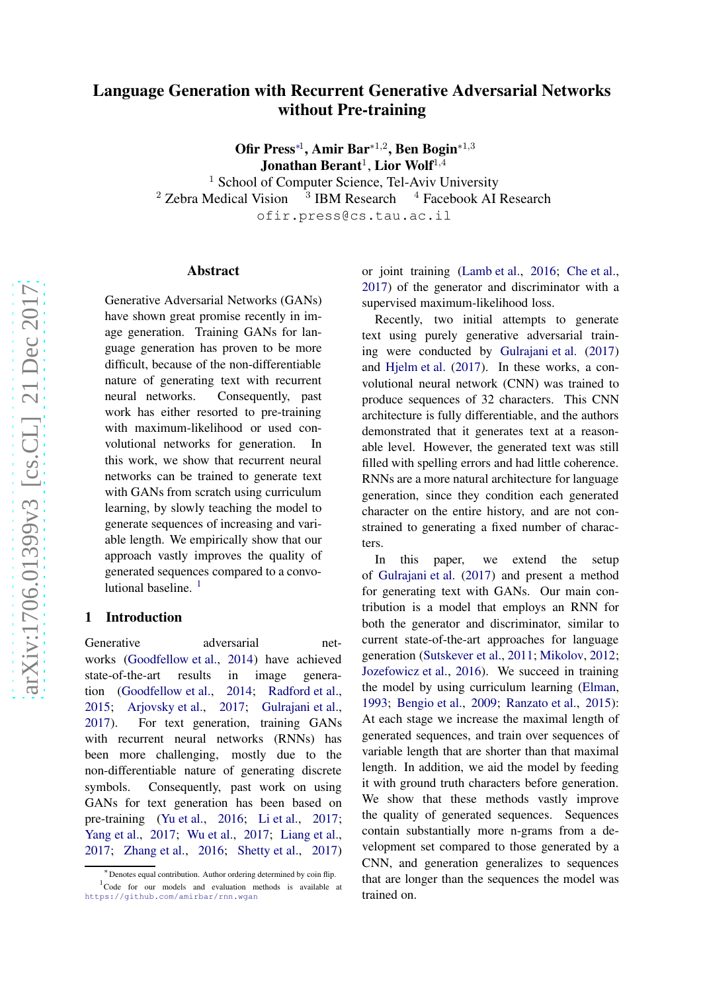# Language Generation with Recurrent Generative Adversarial Networks without Pre-training

Ofir Press<sup>\*1</sup>, Amir Bar<sup>\*1,2</sup>, Ben Bogin<sup>\*1,3</sup> Jonathan Berant $^1$ , Lior Wolf $^{1,4}$ 

<sup>1</sup> School of Computer Science, Tel-Aviv University  $2$  Zebra Medical Vision  $3$  IBM Research  $4$  Facebook AI Research ofir.press@cs.tau.ac.il

#### Abstract

Generative Adversarial Networks (GANs) have shown great promise recently in image generation. Training GANs for language generation has proven to be more difficult, because of the non-differentiable nature of generating text with recurrent neural networks. Consequently, past work has either resorted to pre-training with maximum-likelihood or used convolutional networks for generation. In this work, we show that recurrent neural networks can be trained to generate text with GANs from scratch using curriculum learning, by slowly teaching the model to generate sequences of increasing and variable length. We empirically show that our approach vastly improves the quality of generated sequences compared to a convo-lutional baseline.<sup>[1](#page-0-0)</sup>

#### 1 Introduction

Generative adversarial networks [\(Goodfellow et al.](#page-4-0), [2014](#page-4-0)) have achieved state-of-the-art results in image generation [\(Goodfellow et al.](#page-4-0), [2014](#page-4-0); [Radford et al.,](#page-4-1) [2015;](#page-4-1) [Arjovsky et al.](#page-4-2), [2017](#page-4-2); [Gulrajani et al.,](#page-4-3) [2017\)](#page-4-3). For text generation, training GANs with recurrent neural networks (RNNs) has been more challenging, mostly due to the non-differentiable nature of generating discrete symbols. Consequently, past work on using GANs for text generation has been based on pre-training [\(Yu et al.,](#page-4-4) [2016;](#page-4-4) [Li et al.](#page-4-5), [2017](#page-4-5); [Yang et al.](#page-4-6), [2017](#page-4-6); [Wu et al.,](#page-4-7) [2017;](#page-4-7) [Liang et al.,](#page-4-8) [2017;](#page-4-8) [Zhang et al.](#page-4-9), [2016](#page-4-9); [Shetty et al.,](#page-4-10) [2017](#page-4-10))

or joint training [\(Lamb et al.](#page-4-11), [2016](#page-4-11); [Che et al.,](#page-4-12) [2017](#page-4-12)) of the generator and discriminator with a supervised maximum-likelihood loss.

Recently, two initial attempts to generate text using purely generative adversarial training were conducted by [Gulrajani et al.](#page-4-3) [\(2017\)](#page-4-3) and [Hjelm et al.](#page-4-13) [\(2017](#page-4-13)). In these works, a convolutional neural network (CNN) was trained to produce sequences of 32 characters. This CNN architecture is fully differentiable, and the authors demonstrated that it generates text at a reasonable level. However, the generated text was still filled with spelling errors and had little coherence. RNNs are a more natural architecture for language generation, since they condition each generated character on the entire history, and are not constrained to generating a fixed number of characters.

In this paper, we extend the setup of [Gulrajani et al.](#page-4-3) [\(2017](#page-4-3)) and present a method for generating text with GANs. Our main contribution is a model that employs an RNN for both the generator and discriminator, similar to current state-of-the-art approaches for language generation [\(Sutskever et al.,](#page-4-14) [2011;](#page-4-14) [Mikolov](#page-4-15), [2012](#page-4-15); [Jozefowicz et al.](#page-4-16), [2016](#page-4-16)). We succeed in training the model by using curriculum learning [\(Elman,](#page-4-17) [1993](#page-4-17); [Bengio et al.](#page-4-18), [2009;](#page-4-18) [Ranzato et al.](#page-4-19), [2015\)](#page-4-19): At each stage we increase the maximal length of generated sequences, and train over sequences of variable length that are shorter than that maximal length. In addition, we aid the model by feeding it with ground truth characters before generation. We show that these methods vastly improve the quality of generated sequences. Sequences contain substantially more n-grams from a development set compared to those generated by a CNN, and generation generalizes to sequences that are longer than the sequences the model was trained on.

<span id="page-0-0"></span><sup>∗</sup> Denotes equal contribution. Author ordering determined by coin flip. <sup>1</sup>Code for our models and evaluation methods is available at <https://github.com/amirbar/rnn.wgan>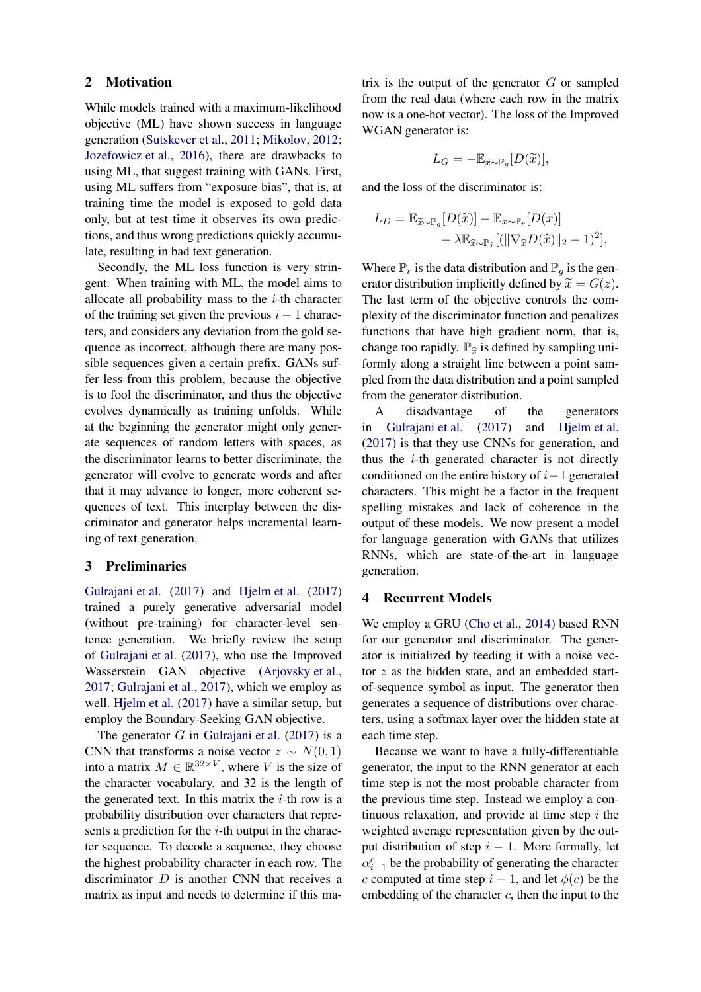# 2 Motivation

While models trained with a maximum-likelihood objective (ML) have shown success in language generation [\(Sutskever et al.](#page-4-14), [2011](#page-4-14); [Mikolov](#page-4-15), [2012](#page-4-15); [Jozefowicz et al.,](#page-4-16) [2016](#page-4-16)), there are drawbacks to using ML, that suggest training with GANs. First, using ML suffers from "exposure bias", that is, at training time the model is exposed to gold data only, but at test time it observes its own predictions, and thus wrong predictions quickly accumulate, resulting in bad text generation.

Secondly, the ML loss function is very stringent. When training with ML, the model aims to allocate all probability mass to the  $i$ -th character of the training set given the previous  $i - 1$  characters, and considers any deviation from the gold sequence as incorrect, although there are many possible sequences given a certain prefix. GANs suffer less from this problem, because the objective is to fool the discriminator, and thus the objective evolves dynamically as training unfolds. While at the beginning the generator might only generate sequences of random letters with spaces, as the discriminator learns to better discriminate, the generator will evolve to generate words and after that it may advance to longer, more coherent sequences of text. This interplay between the discriminator and generator helps incremental learning of text generation.

# <span id="page-1-0"></span>3 Preliminaries

[Gulrajani et al.](#page-4-3) [\(2017](#page-4-3)) and [Hjelm et al.](#page-4-13) [\(2017](#page-4-13)) trained a purely generative adversarial model (without pre-training) for character-level sentence generation. We briefly review the setup of [Gulrajani et al.](#page-4-3) [\(2017](#page-4-3)), who use the Improved Wasserstein GAN objective [\(Arjovsky et al.,](#page-4-2) [2017;](#page-4-2) [Gulrajani et al.,](#page-4-3) [2017](#page-4-3)), which we employ as well. [Hjelm et al.](#page-4-13) [\(2017](#page-4-13)) have a similar setup, but employ the Boundary-Seeking GAN objective.

The generator  $G$  in [Gulrajani et al.](#page-4-3) [\(2017](#page-4-3)) is a CNN that transforms a noise vector  $z \sim N(0, 1)$ into a matrix  $M \in \mathbb{R}^{32 \times V}$ , where V is the size of the character vocabulary, and 32 is the length of the generated text. In this matrix the  $i$ -th row is a probability distribution over characters that represents a prediction for the  $i$ -th output in the character sequence. To decode a sequence, they choose the highest probability character in each row. The discriminator  $D$  is another CNN that receives a matrix as input and needs to determine if this matrix is the output of the generator  $G$  or sampled from the real data (where each row in the matrix now is a one-hot vector). The loss of the Improved WGAN generator is:

$$
L_G = -\mathbb{E}_{\widetilde{x}\sim \mathbb{P}_g}[D(\widetilde{x})],
$$

and the loss of the discriminator is:

$$
L_D = \mathbb{E}_{\widetilde{x}\sim \mathbb{P}_g}[D(\widetilde{x})] - \mathbb{E}_{x\sim \mathbb{P}_r}[D(x)] + \lambda \mathbb{E}_{\widehat{x}\sim \mathbb{P}_{\widehat{x}}}[(\|\nabla_{\widehat{x}}D(\widehat{x})\|_2 - 1)^2],
$$

Where  $\mathbb{P}_r$  is the data distribution and  $\mathbb{P}_q$  is the generator distribution implicitly defined by  $\tilde{x} = G(z)$ . The last term of the objective controls the complexity of the discriminator function and penalizes functions that have high gradient norm, that is, change too rapidly.  $\mathbb{P}_{\hat{x}}$  is defined by sampling uniformly along a straight line between a point sampled from the data distribution and a point sampled from the generator distribution.

A disadvantage of the generators in [Gulrajani et al.](#page-4-3) [\(2017](#page-4-3)) and [Hjelm et al.](#page-4-13) [\(2017\)](#page-4-13) is that they use CNNs for generation, and thus the  $i$ -th generated character is not directly conditioned on the entire history of  $i-1$  generated characters. This might be a factor in the frequent spelling mistakes and lack of coherence in the output of these models. We now present a model for language generation with GANs that utilizes RNNs, which are state-of-the-art in language generation.

# 4 Recurrent Models

We employ a GRU [\(Cho et al.](#page-4-20), [2014\)](#page-4-20) based RNN for our generator and discriminator. The generator is initialized by feeding it with a noise vector  $z$  as the hidden state, and an embedded startof-sequence symbol as input. The generator then generates a sequence of distributions over characters, using a softmax layer over the hidden state at each time step.

Because we want to have a fully-differentiable generator, the input to the RNN generator at each time step is not the most probable character from the previous time step. Instead we employ a continuous relaxation, and provide at time step  $i$  the weighted average representation given by the output distribution of step  $i - 1$ . More formally, let  $\alpha_{i-1}^c$  be the probability of generating the character c computed at time step  $i - 1$ , and let  $\phi(c)$  be the embedding of the character  $c$ , then the input to the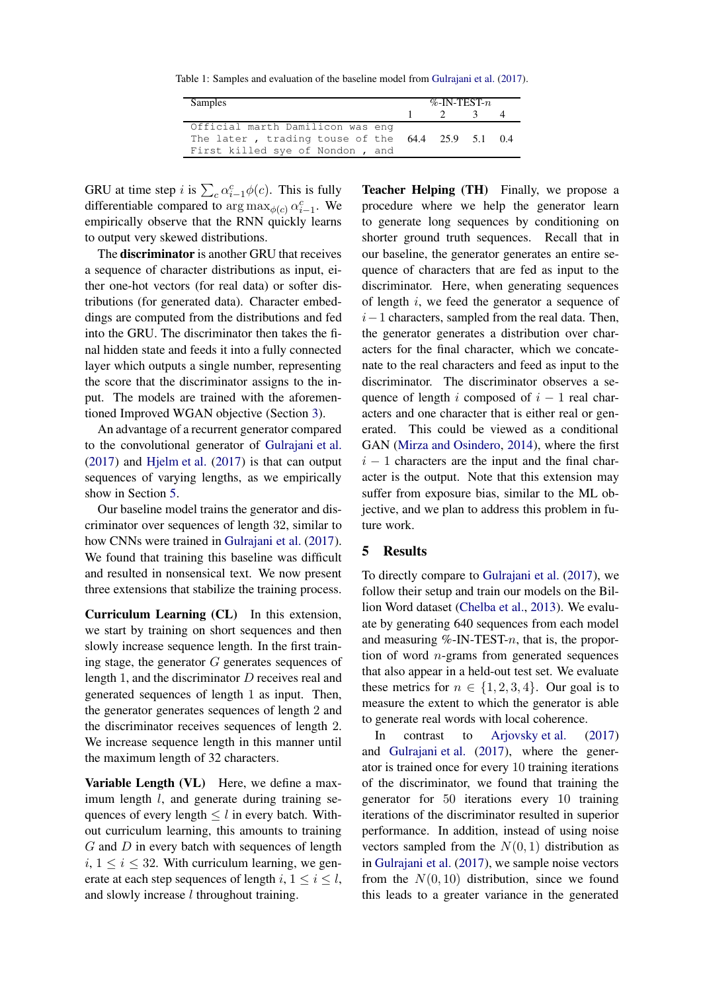Table 1: Samples and evaluation of the baseline model from [Gulrajani et al.](#page-4-3) [\(2017](#page-4-3)).

| Samples                                                                                | %-IN-TEST- $n$ |  |               |  |  |
|----------------------------------------------------------------------------------------|----------------|--|---------------|--|--|
|                                                                                        | $\frac{1}{2}$  |  | $\mathcal{R}$ |  |  |
| Official marth Damilicon was eng                                                       |                |  |               |  |  |
| The later, trading touse of the $64.4$ 25.9 5.1 0.4<br>First killed sye of Nondon, and |                |  |               |  |  |

GRU at time step *i* is  $\sum_{c} \alpha_{i-1}^{c} \phi(c)$ . This is fully differentiable compared to  $\arg \max_{\phi(c)} \alpha_{i-1}^c$ . We empirically observe that the RNN quickly learns to output very skewed distributions.

The discriminator is another GRU that receives a sequence of character distributions as input, either one-hot vectors (for real data) or softer distributions (for generated data). Character embeddings are computed from the distributions and fed into the GRU. The discriminator then takes the final hidden state and feeds it into a fully connected layer which outputs a single number, representing the score that the discriminator assigns to the input. The models are trained with the aforementioned Improved WGAN objective (Section [3\)](#page-1-0).

An advantage of a recurrent generator compared to the convolutional generator of [Gulrajani et al.](#page-4-3) [\(2017](#page-4-3)) and [Hjelm et al.](#page-4-13) [\(2017\)](#page-4-13) is that can output sequences of varying lengths, as we empirically show in Section [5.](#page-2-0)

Our baseline model trains the generator and discriminator over sequences of length 32, similar to how CNNs were trained in [Gulrajani et al.](#page-4-3) [\(2017\)](#page-4-3). We found that training this baseline was difficult and resulted in nonsensical text. We now present three extensions that stabilize the training process.

Curriculum Learning (CL) In this extension, we start by training on short sequences and then slowly increase sequence length. In the first training stage, the generator  $G$  generates sequences of length 1, and the discriminator D receives real and generated sequences of length 1 as input. Then, the generator generates sequences of length 2 and the discriminator receives sequences of length 2. We increase sequence length in this manner until the maximum length of 32 characters.

Variable Length (VL) Here, we define a maximum length *l*, and generate during training sequences of every length  $\leq l$  in every batch. Without curriculum learning, this amounts to training  $G$  and  $D$  in every batch with sequences of length  $i, 1 \leq i \leq 32$ . With curriculum learning, we generate at each step sequences of length i,  $1 \le i \le l$ , and slowly increase  $l$  throughout training.

Teacher Helping (TH) Finally, we propose a procedure where we help the generator learn to generate long sequences by conditioning on shorter ground truth sequences. Recall that in our baseline, the generator generates an entire sequence of characters that are fed as input to the discriminator. Here, when generating sequences of length  $i$ , we feed the generator a sequence of  $i-1$  characters, sampled from the real data. Then, the generator generates a distribution over characters for the final character, which we concatenate to the real characters and feed as input to the discriminator. The discriminator observes a sequence of length i composed of  $i - 1$  real characters and one character that is either real or generated. This could be viewed as a conditional GAN [\(Mirza and Osindero,](#page-4-21) [2014](#page-4-21)), where the first  $i - 1$  characters are the input and the final character is the output. Note that this extension may suffer from exposure bias, similar to the ML objective, and we plan to address this problem in future work.

## <span id="page-2-0"></span>5 Results

To directly compare to [Gulrajani et al.](#page-4-3) [\(2017](#page-4-3)), we follow their setup and train our models on the Billion Word dataset [\(Chelba et al.,](#page-4-22) [2013](#page-4-22)). We evaluate by generating 640 sequences from each model and measuring  $%$ -IN-TEST- $n$ , that is, the proportion of word  $n$ -grams from generated sequences that also appear in a held-out test set. We evaluate these metrics for  $n \in \{1, 2, 3, 4\}$ . Our goal is to measure the extent to which the generator is able to generate real words with local coherence.

In contrast to [Arjovsky et al.](#page-4-2) [\(2017\)](#page-4-2) and [Gulrajani et al.](#page-4-3) [\(2017](#page-4-3)), where the generator is trained once for every 10 training iterations of the discriminator, we found that training the generator for 50 iterations every 10 training iterations of the discriminator resulted in superior performance. In addition, instead of using noise vectors sampled from the  $N(0, 1)$  distribution as in [Gulrajani et al.](#page-4-3) [\(2017](#page-4-3)), we sample noise vectors from the  $N(0, 10)$  distribution, since we found this leads to a greater variance in the generated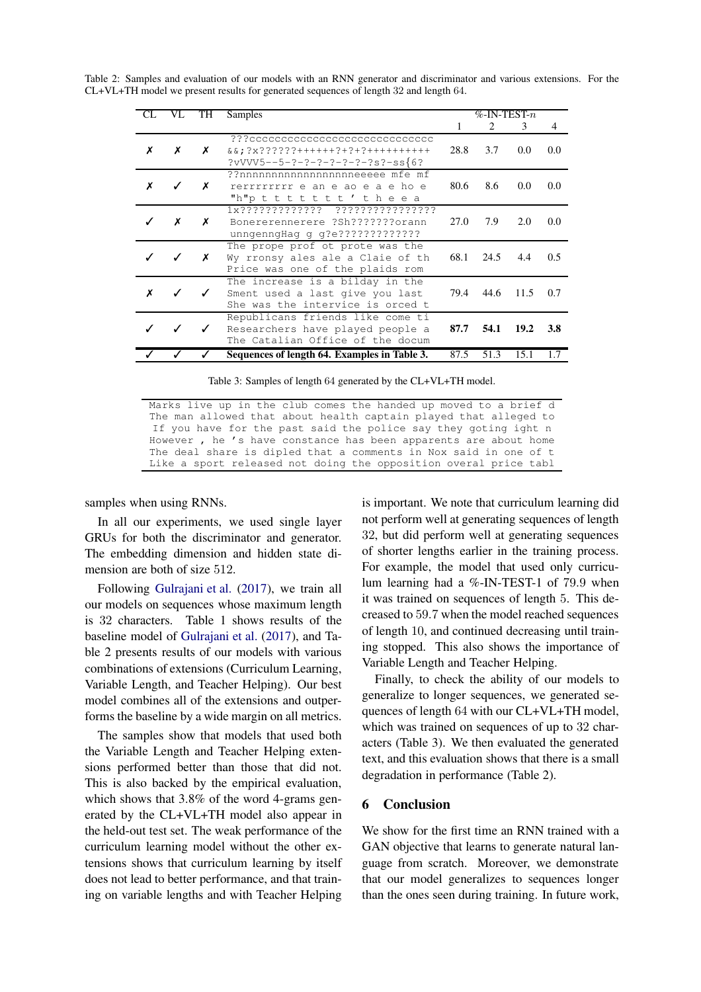| CL | VL | TH | Samples                                                                                                    | $%$ -IN-TEST- $n$ |                             |               |            |  |
|----|----|----|------------------------------------------------------------------------------------------------------------|-------------------|-----------------------------|---------------|------------|--|
|    |    |    |                                                                                                            | 1                 | $\mathcal{D}_{\mathcal{L}}$ | $\mathcal{F}$ | 4          |  |
| x  | х  | X  | ???ccccccccccccccccccccccccccccc<br>$&&&;?X??????++++++?+?+?++++++++++$<br>?vVVV5--5-?-?-?-?-?-?-?s?-ss{6? | 28.8              | 3.7                         | 0.0           | 0.0        |  |
| x  | ✓  | Х  | ??nnnnnnnnnnnnnnnnnneeeee mfe mf<br>rerrrrrrrrrr e an e ao e a e ho e<br>"h"p t t t t t t t ' t h e e a    | 80.6              | 8.6                         | 0.0           | 0.0        |  |
|    | x  | Х  | Bonererennerere ?Sh???????orann<br>unngenngHag g g?e?????????????                                          | 27.0              | 7.9                         | 2.0           | 0.0        |  |
|    | J  | Х  | The prope prof ot prote was the<br>Wy rronsy ales ale a Claie of th<br>Price was one of the plaids rom     | 68.1              | 24.5                        | 4.4           | 0.5        |  |
| x  |    |    | The increase is a bilday in the<br>Sment used a last give you last<br>She was the intervice is orced t     | 79.4              | 44.6                        | 11.5          | 0.7        |  |
|    |    |    | Republicans friends like come ti<br>Researchers have played people a<br>The Catalian Office of the docum   | 87.7              | 54.1                        | 19.2          | <b>3.8</b> |  |
|    |    |    | Sequences of length 64. Examples in Table 3.                                                               | 87.5              | 51.3                        | 15.1          |            |  |

Table 2: Samples and evaluation of our models with an RNN generator and discriminator and various extensions. For the  $CL+VL+TH$  model we present results for generated sequences of length 32 and length 64.

Table 3: Samples of length 64 generated by the CL+VL+TH model.

Marks live up in the club comes the handed up moved to a brief d The man allowed that about health captain played that alleged to If you have for the past said the police say they goting ight n However, he's have constance has been apparents are about home The deal share is dipled that a comments in Nox said in one of t Like a sport released not doing the opposition overal price tabl

samples when using RNNs.

In all our experiments, we used single layer GRUs for both the discriminator and generator. The embedding dimension and hidden state dimension are both of size 512.

Following Gulrajani et al. (2017), we train all our models on sequences whose maximum length is 32 characters. Table 1 shows results of the baseline model of Gulrajani et al. (2017), and Table 2 presents results of our models with various combinations of extensions (Curriculum Learning, Variable Length, and Teacher Helping). Our best model combines all of the extensions and outperforms the baseline by a wide margin on all metrics.

The samples show that models that used both the Variable Length and Teacher Helping extensions performed better than those that did not. This is also backed by the empirical evaluation. which shows that  $3.8\%$  of the word 4-grams generated by the CL+VL+TH model also appear in the held-out test set. The weak performance of the curriculum learning model without the other extensions shows that curriculum learning by itself does not lead to better performance, and that training on variable lengths and with Teacher Helping is important. We note that curriculum learning did not perform well at generating sequences of length 32, but did perform well at generating sequences of shorter lengths earlier in the training process. For example, the model that used only curriculum learning had a %-IN-TEST-1 of 79.9 when it was trained on sequences of length 5. This decreased to 59.7 when the model reached sequences of length 10, and continued decreasing until training stopped. This also shows the importance of Variable Length and Teacher Helping.

Finally, to check the ability of our models to generalize to longer sequences, we generated sequences of length 64 with our CL+VL+TH model, which was trained on sequences of up to 32 characters (Table 3). We then evaluated the generated text, and this evaluation shows that there is a small degradation in performance (Table 2).

#### 6 Conclusion

We show for the first time an RNN trained with a GAN objective that learns to generate natural language from scratch. Moreover, we demonstrate that our model generalizes to sequences longer than the ones seen during training. In future work,